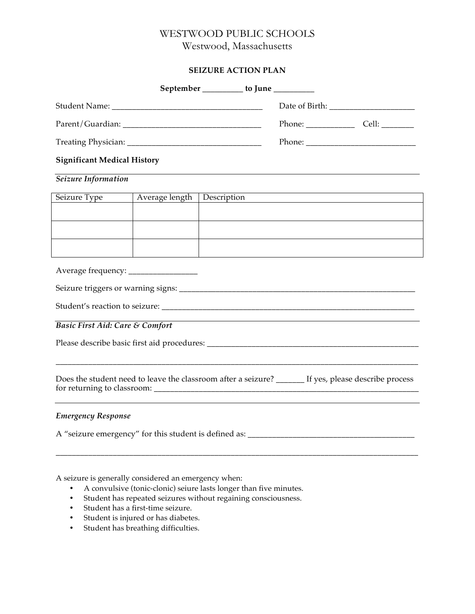# WESTWOOD PUBLIC SCHOOLS

Westwood, Massachusetts

### **SEIZURE ACTION PLAN**

| UNE ACTIVITI LAR                                      |                |                                         |  |                                                                                                      |  |  |
|-------------------------------------------------------|----------------|-----------------------------------------|--|------------------------------------------------------------------------------------------------------|--|--|
|                                                       |                | September __________ to June __________ |  |                                                                                                      |  |  |
|                                                       |                |                                         |  |                                                                                                      |  |  |
|                                                       |                |                                         |  |                                                                                                      |  |  |
|                                                       |                |                                         |  |                                                                                                      |  |  |
| <b>Significant Medical History</b>                    |                |                                         |  |                                                                                                      |  |  |
| Seizure Information                                   |                |                                         |  |                                                                                                      |  |  |
| Seizure Type                                          | Average length | Description                             |  |                                                                                                      |  |  |
|                                                       |                |                                         |  |                                                                                                      |  |  |
|                                                       |                |                                         |  |                                                                                                      |  |  |
|                                                       |                |                                         |  |                                                                                                      |  |  |
|                                                       |                |                                         |  |                                                                                                      |  |  |
|                                                       |                |                                         |  |                                                                                                      |  |  |
|                                                       |                |                                         |  |                                                                                                      |  |  |
| Basic First Aid: Care & Comfort                       |                |                                         |  |                                                                                                      |  |  |
|                                                       |                |                                         |  |                                                                                                      |  |  |
|                                                       |                |                                         |  | Does the student need to leave the classroom after a seizure? ______ If yes, please describe process |  |  |
| <b>Emergency Response</b>                             |                |                                         |  |                                                                                                      |  |  |
| A "seizure emergency" for this student is defined as: |                |                                         |  |                                                                                                      |  |  |

\_\_\_\_\_\_\_\_\_\_\_\_\_\_\_\_\_\_\_\_\_\_\_\_\_\_\_\_\_\_\_\_\_\_\_\_\_\_\_\_\_\_\_\_\_\_\_\_\_\_\_\_\_\_\_\_\_\_\_\_\_\_\_\_\_\_\_\_\_\_\_\_\_\_\_\_\_\_\_\_\_\_\_\_\_\_\_\_\_

A seizure is generally considered an emergency when:

- A convulsive (tonic-clonic) seiure lasts longer than five minutes.
- Student has repeated seizures without regaining consciousness.
- Student has a first-time seizure.
- Student is injured or has diabetes.
- Student has breathing difficulties.